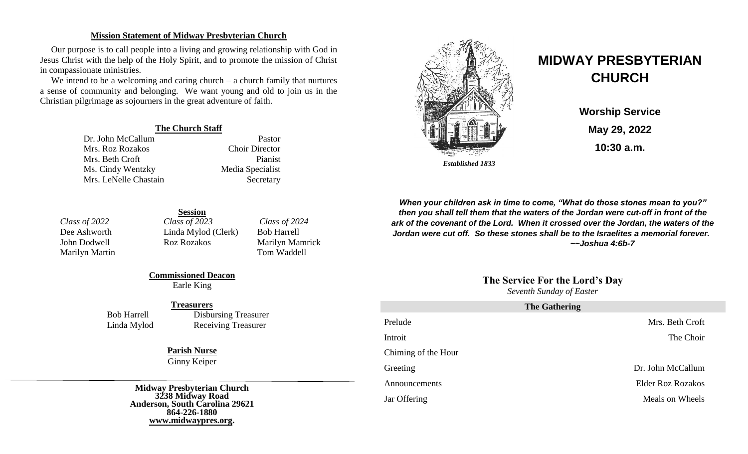#### **Mission Statement of Midway Presbyterian Church**

Our purpose is to call people into a living and growing relationship with God in Jesus Christ with the help of the Holy Spirit, and to promote the mission of Christ in compassionate ministries.

We intend to be a welcoming and caring church – a church family that nurtures a sense of community and belonging. We want young and old to join us in the Christian pilgrimage as sojourners in the great adventure of faith.

#### **The Church Staff**

Dr. John McCallum Pastor Mrs. Roz Rozakos Choir Director Mrs. Beth Croft Pianist Ms. Cindy Wentzky Media Specialist Mrs. LeNelle Chastain Secretary



# **MIDWAY PRESBYTERIAN CHURCH**

**Worship Service May 29, 2022 10:30 a.m.**

*When your children ask in time to come, "What do those stones mean to you?" then you shall tell them that the waters of the Jordan were cut-off in front of the ark of the covenant of the Lord. When it crossed over the Jordan, the waters of the Jordan were cut off. So these stones shall be to the Israelites a memorial forever. ~~Joshua 4:6b-7*

# **The Service For the Lord's Day**

*Seventh Sunday of Easter* 

| <b>The Gathering</b> |                   |  |
|----------------------|-------------------|--|
| Prelude              | Mrs. Beth Croft   |  |
| Introit              | The Choir         |  |
| Chiming of the Hour  |                   |  |
| Greeting             | Dr. John McCallum |  |
| Announcements        | Elder Roz Rozakos |  |
| Jar Offering         | Meals on Wheels   |  |

**Session** *Class of 2022 Class of 2023 Class of 2024* Dee Ashworth Linda Mylod (Clerk) Bob Harrell John Dodwell Roz Rozakos Marilyn Mamrick Marilyn Martin Tom Waddell

**Commissioned Deacon** Earle King

#### **Treasurers**

Bob Harrell Disbursing Treasurer Linda Mylod Receiving Treasurer

**Parish Nurse**

Ginny Keiper

**Midway Presbyterian Church 3238 Midway Road Anderson, South Carolina 29621 864-226-1880 [www.midwaypres.org.](http://www.midwaypres.org/)**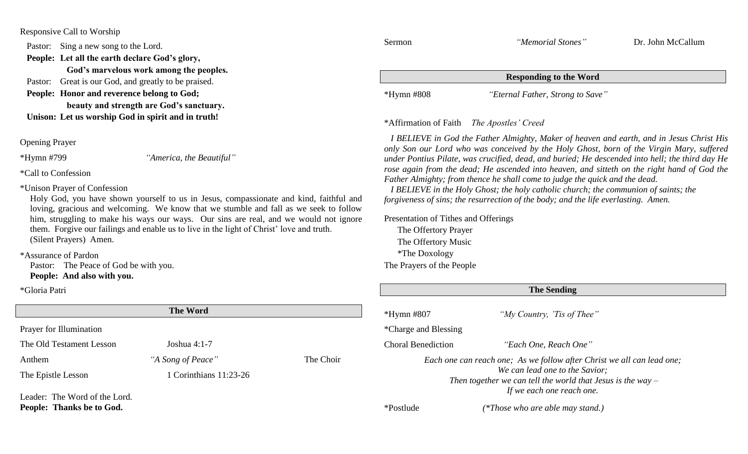Responsive Call to Worship

Pastor: Sing a new song to the Lord.

**People: Let all the earth declare God's glory,**

 **God's marvelous work among the peoples.**

Pastor: Great is our God, and greatly to be praised.

**People: Honor and reverence belong to God; beauty and strength are God's sanctuary. Unison: Let us worship God in spirit and in truth!**

Opening Prayer

\*Hymn #799 *"America, the Beautiful"*

\*Call to Confession

\*Unison Prayer of Confession

Holy God, you have shown yourself to us in Jesus, compassionate and kind, faithful and loving, gracious and welcoming. We know that we stumble and fall as we seek to follow him, struggling to make his ways our ways. Our sins are real, and we would not ignore them. Forgive our failings and enable us to live in the light of Christ' love and truth. (Silent Prayers) Amen.

\*Assurance of Pardon

**People: Thanks be to God.**

Pastor: The Peace of God be with you. **People: And also with you.**

\*Gloria Patri

| <b>The Word</b>               |                        |           |  |  |
|-------------------------------|------------------------|-----------|--|--|
| Prayer for Illumination       |                        |           |  |  |
| The Old Testament Lesson      | Joshua $4:1-7$         |           |  |  |
| Anthem                        | "A Song of Peace"      | The Choir |  |  |
| The Epistle Lesson            | 1 Corinthians 11:23-26 |           |  |  |
| Leader: The Word of the Lord. |                        |           |  |  |

| Sermon                                    | "Memorial Stones"                | Dr. John McCallum |  |  |
|-------------------------------------------|----------------------------------|-------------------|--|--|
| <b>Responding to the Word</b>             |                                  |                   |  |  |
| *Hymn #808                                | "Eternal Father, Strong to Save" |                   |  |  |
| *Affirmation of Eaith The Apostles' Crood |                                  |                   |  |  |

\*Affirmation of Faith *The Apostles' Creed*

 *I BELIEVE in God the Father Almighty, Maker of heaven and earth, and in Jesus Christ His only Son our Lord who was conceived by the Holy Ghost, born of the Virgin Mary, suffered under Pontius Pilate, was crucified, dead, and buried; He descended into hell; the third day He rose again from the dead; He ascended into heaven, and sitteth on the right hand of God the Father Almighty; from thence he shall come to judge the quick and the dead.*

 *I BELIEVE in the Holy Ghost; the holy catholic church; the communion of saints; the forgiveness of sins; the resurrection of the body; and the life everlasting. Amen.*

Presentation of Tithes and Offerings

The Offertory Prayer The Offertory Music \*The Doxology The Prayers of the People

| <b>The Sending</b>        |                                                                                                                                                                                                        |  |
|---------------------------|--------------------------------------------------------------------------------------------------------------------------------------------------------------------------------------------------------|--|
| $*Hymn$ #807              | "My Country, 'Tis of Thee"                                                                                                                                                                             |  |
| *Charge and Blessing      |                                                                                                                                                                                                        |  |
| <b>Choral Benediction</b> | "Each One, Reach One"                                                                                                                                                                                  |  |
|                           | Each one can reach one; As we follow after Christ we all can lead one;<br>We can lead one to the Savior;<br>Then together we can tell the world that Jesus is the way $-$<br>If we each one reach one. |  |
| *Postlude                 | (*Those who are able may stand.)                                                                                                                                                                       |  |